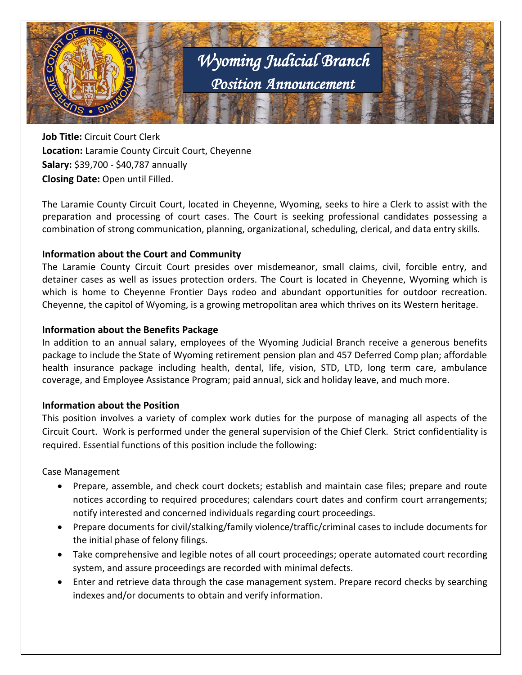

**Job Title:** Circuit Court Clerk **Location:** Laramie County Circuit Court, Cheyenne **Salary:** \$39,700 - \$40,787 annually **Closing Date:** Open until Filled.

The Laramie County Circuit Court, located in Cheyenne, Wyoming, seeks to hire a Clerk to assist with the preparation and processing of court cases. The Court is seeking professional candidates possessing a combination of strong communication, planning, organizational, scheduling, clerical, and data entry skills.

# **Information about the Court and Community**

The Laramie County Circuit Court presides over misdemeanor, small claims, civil, forcible entry, and detainer cases as well as issues protection orders. The Court is located in Cheyenne, Wyoming which is which is home to Cheyenne Frontier Days rodeo and abundant opportunities for outdoor recreation. Cheyenne, the capitol of Wyoming, is a growing metropolitan area which thrives on its Western heritage.

# **Information about the Benefits Package**

In addition to an annual salary, employees of the Wyoming Judicial Branch receive a generous benefits package to include the State of Wyoming retirement pension plan and 457 Deferred Comp plan; affordable health insurance package including health, dental, life, vision, STD, LTD, long term care, ambulance coverage, and Employee Assistance Program; paid annual, sick and holiday leave, and much more.

# **Information about the Position**

This position involves a variety of complex work duties for the purpose of managing all aspects of the Circuit Court. Work is performed under the general supervision of the Chief Clerk. Strict confidentiality is required. Essential functions of this position include the following:

Case Management

- Prepare, assemble, and check court dockets; establish and maintain case files; prepare and route notices according to required procedures; calendars court dates and confirm court arrangements; notify interested and concerned individuals regarding court proceedings.
- Prepare documents for civil/stalking/family violence/traffic/criminal cases to include documents for the initial phase of felony filings.
- Take comprehensive and legible notes of all court proceedings; operate automated court recording system, and assure proceedings are recorded with minimal defects.
- Enter and retrieve data through the case management system. Prepare record checks by searching indexes and/or documents to obtain and verify information.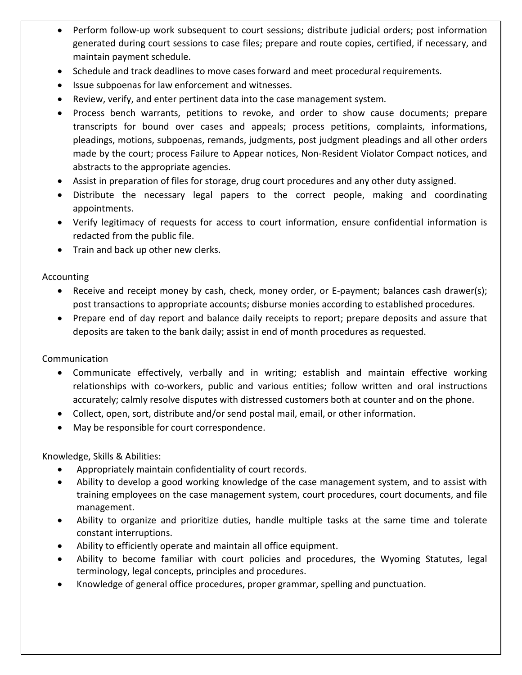- Perform follow-up work subsequent to court sessions; distribute judicial orders; post information generated during court sessions to case files; prepare and route copies, certified, if necessary, and maintain payment schedule.
- Schedule and track deadlines to move cases forward and meet procedural requirements.
- Issue subpoenas for law enforcement and witnesses.
- Review, verify, and enter pertinent data into the case management system.
- Process bench warrants, petitions to revoke, and order to show cause documents; prepare transcripts for bound over cases and appeals; process petitions, complaints, informations, pleadings, motions, subpoenas, remands, judgments, post judgment pleadings and all other orders made by the court; process Failure to Appear notices, Non-Resident Violator Compact notices, and abstracts to the appropriate agencies.
- Assist in preparation of files for storage, drug court procedures and any other duty assigned.
- Distribute the necessary legal papers to the correct people, making and coordinating appointments.
- Verify legitimacy of requests for access to court information, ensure confidential information is redacted from the public file.
- Train and back up other new clerks.

Accounting

- Receive and receipt money by cash, check, money order, or E-payment; balances cash drawer(s); post transactions to appropriate accounts; disburse monies according to established procedures.
- Prepare end of day report and balance daily receipts to report; prepare deposits and assure that deposits are taken to the bank daily; assist in end of month procedures as requested.

Communication

- Communicate effectively, verbally and in writing; establish and maintain effective working relationships with co-workers, public and various entities; follow written and oral instructions accurately; calmly resolve disputes with distressed customers both at counter and on the phone.
- Collect, open, sort, distribute and/or send postal mail, email, or other information.
- May be responsible for court correspondence.

Knowledge, Skills & Abilities:

- Appropriately maintain confidentiality of court records.
- Ability to develop a good working knowledge of the case management system, and to assist with training employees on the case management system, court procedures, court documents, and file management.
- Ability to organize and prioritize duties, handle multiple tasks at the same time and tolerate constant interruptions.
- Ability to efficiently operate and maintain all office equipment.
- Ability to become familiar with court policies and procedures, the Wyoming Statutes, legal terminology, legal concepts, principles and procedures.
- Knowledge of general office procedures, proper grammar, spelling and punctuation.